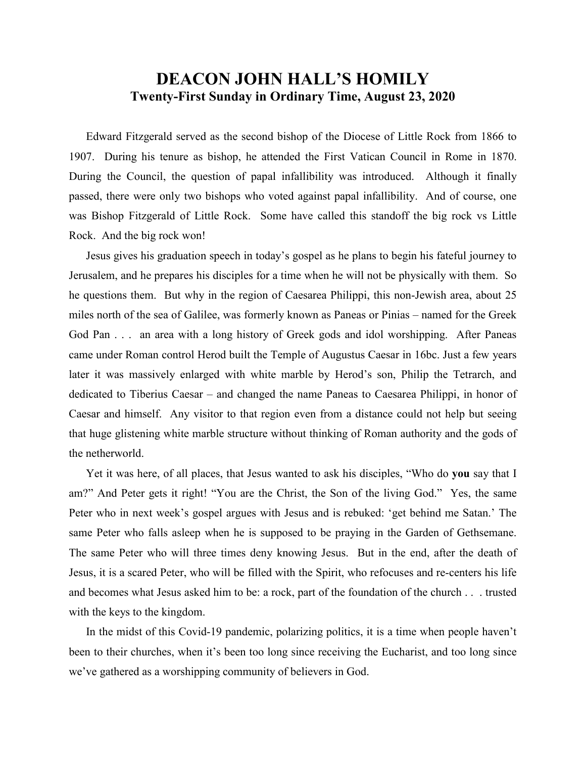## **DEACON JOHN HALL'S HOMILY Twenty-First Sunday in Ordinary Time, August 23, 2020**

 Edward Fitzgerald served as the second bishop of the Diocese of Little Rock from 1866 to 1907. During his tenure as bishop, he attended the First Vatican Council in Rome in 1870. During the Council, the question of papal infallibility was introduced. Although it finally passed, there were only two bishops who voted against papal infallibility. And of course, one was Bishop Fitzgerald of Little Rock. Some have called this standoff the big rock vs Little Rock. And the big rock won!

 Jesus gives his graduation speech in today's gospel as he plans to begin his fateful journey to Jerusalem, and he prepares his disciples for a time when he will not be physically with them. So he questions them. But why in the region of Caesarea Philippi, this non-Jewish area, about 25 miles north of the sea of Galilee, was formerly known as Paneas or Pinias – named for the Greek God Pan . . . an area with a long history of Greek gods and idol worshipping. After Paneas came under Roman control Herod built the Temple of Augustus Caesar in 16bc. Just a few years later it was massively enlarged with white marble by Herod's son, Philip the Tetrarch, and dedicated to Tiberius Caesar – and changed the name Paneas to Caesarea Philippi, in honor of Caesar and himself. Any visitor to that region even from a distance could not help but seeing that huge glistening white marble structure without thinking of Roman authority and the gods of the netherworld.

 Yet it was here, of all places, that Jesus wanted to ask his disciples, "Who do **you** say that I am?" And Peter gets it right! "You are the Christ, the Son of the living God." Yes, the same Peter who in next week's gospel argues with Jesus and is rebuked: 'get behind me Satan.' The same Peter who falls asleep when he is supposed to be praying in the Garden of Gethsemane. The same Peter who will three times deny knowing Jesus. But in the end, after the death of Jesus, it is a scared Peter, who will be filled with the Spirit, who refocuses and re-centers his life and becomes what Jesus asked him to be: a rock, part of the foundation of the church . . . trusted with the keys to the kingdom.

 In the midst of this Covid-19 pandemic, polarizing politics, it is a time when people haven't been to their churches, when it's been too long since receiving the Eucharist, and too long since we've gathered as a worshipping community of believers in God.